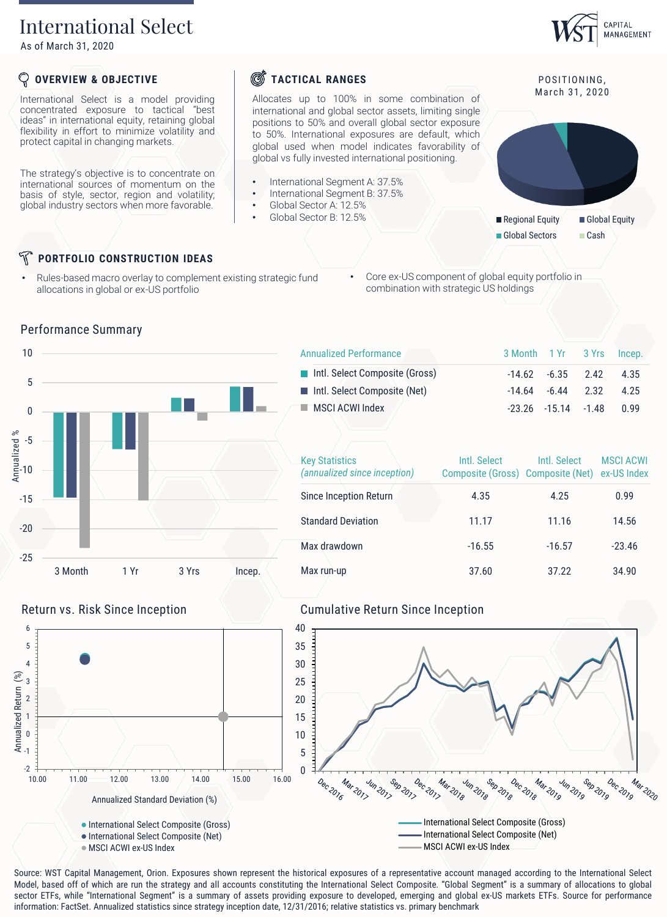# International Select

As of March 31, 2020

## **OVERVIEW & OBJECTIVE**

International Select is a model providing concentrated exposure to tactical "best ideas" in international equity, retaining global flexibility in effort to minimize volatility and protect capital in changing markets.

The strategy's objective is to concentrate on international sources of momentum on the basis of style, sector, region and volatility; global industry sectors when more favorable.

# **S**TACTICAL RANGES

Allocates up to 100% in some combination of international and global sector assets, limiting single positions to 50% and overall global sector exposure to 50%. International exposures are default, which global used when model indicates favorability of global vs fully invested international positioning.

- International Segment A: 37.5%
- International Segment B: 37.5%
- Global Sector A: 12.5%
- Global Sector B: 12.5%



M ar ch 31, 2020

CAPITAL MANAGEMENT



# **PORTFOLIO CONSTRUCTION IDEAS**

- Rules-based macro overlay to complement existing strategic fund allocations in global or ex-US portfolio
- Core ex-US component of global equity portfolio in combination with strategic US holdings



### Performance Summary

| <b>Annualized Performance</b>  | 3 Month 1 Yr 3 Yrs Incep. |                                |       |
|--------------------------------|---------------------------|--------------------------------|-------|
| Intl. Select Composite (Gross) |                           | $-14.62$ $-6.35$ $2.42$ $4.35$ |       |
| Intl. Select Composite (Net)   |                           | $-14.64$ $-6.44$ 2.32          | 4 2 5 |
| MSCI ACWI Index                |                           | $-23.26$ $-15.14$ $-1.48$      | n 99  |
|                                |                           |                                |       |

| <b>Key Statistics</b><br>(annualized since inception) | Intl. Select<br>Composite (Gross) Composite (Net) | Intl. Select | <b>MSCI ACWI</b><br>ex-US Index |
|-------------------------------------------------------|---------------------------------------------------|--------------|---------------------------------|
| Since Inception Return                                | 4.35                                              | 4.25         | 0.99                            |
| <b>Standard Deviation</b>                             | 11.17                                             | 11.16        | 14.56                           |
| Max drawdown                                          | $-16.55$                                          | $-16.57$     | $-23.46$                        |
| Max run-up                                            | 37.60                                             | 37.22        | 34.90                           |



Source: WST Capital Management, Orion. Exposures shown represent the historical exposures of a representative account managed according to the International Select Model, based off of which are run the strategy and all accounts constituting the International Select Composite. "Global Segment" is a summary of allocations to global sector ETFs, while "International Segment" is a summary of assets providing exposure to developed, emerging and global ex-US markets ETFs. Source for performance<br>information: FactSet. Annualized statistics since strategy i